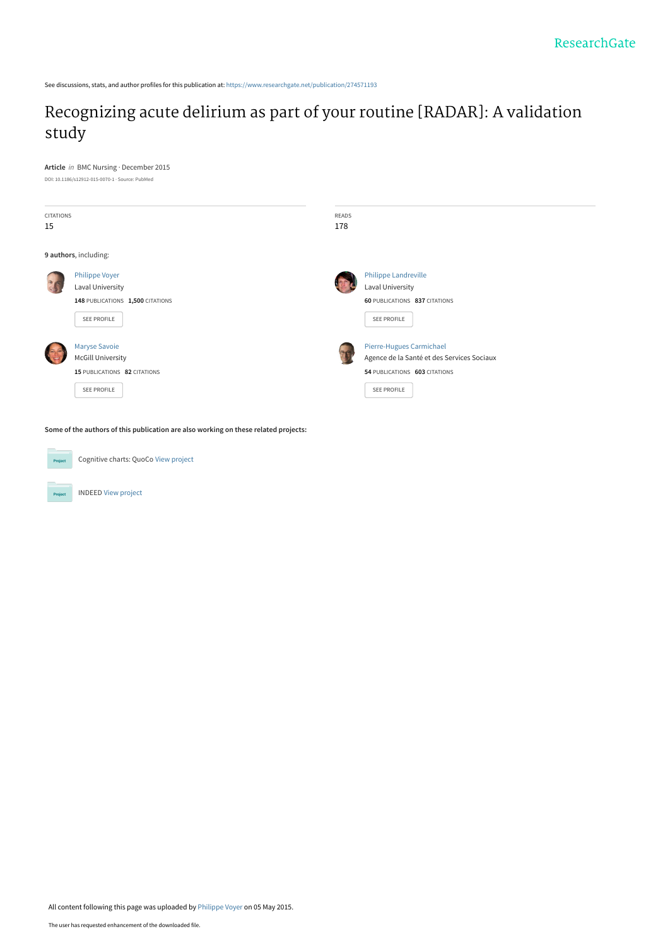See discussions, stats, and author profiles for this publication at: [https://www.researchgate.net/publication/274571193](https://www.researchgate.net/publication/274571193_Recognizing_acute_delirium_as_part_of_your_routine_RADAR_A_validation_study?enrichId=rgreq-7da6867515326c55ca3b789910280208-XXX&enrichSource=Y292ZXJQYWdlOzI3NDU3MTE5MztBUzoyMjU3NDQ4NTM3MDQ3MDRAMTQzMDgzMzE3NTcwMA%3D%3D&el=1_x_2&_esc=publicationCoverPdf)

# [Recognizing acute delirium as part of your routine \[RADAR\]: A validation](https://www.researchgate.net/publication/274571193_Recognizing_acute_delirium_as_part_of_your_routine_RADAR_A_validation_study?enrichId=rgreq-7da6867515326c55ca3b789910280208-XXX&enrichSource=Y292ZXJQYWdlOzI3NDU3MTE5MztBUzoyMjU3NDQ4NTM3MDQ3MDRAMTQzMDgzMzE3NTcwMA%3D%3D&el=1_x_3&_esc=publicationCoverPdf) study

**Article** in BMC Nursing · December 2015

| DOI: 10.1186/s12912-015-0070-1 · Source: PubMed |  |
|-------------------------------------------------|--|
|-------------------------------------------------|--|

| <b>CITATIONS</b> |                                  | READS |                                            |
|------------------|----------------------------------|-------|--------------------------------------------|
| 15               |                                  | 178   |                                            |
|                  |                                  |       |                                            |
|                  | 9 authors, including:            |       |                                            |
|                  | <b>Philippe Voyer</b>            |       | <b>Philippe Landreville</b>                |
|                  | Laval University                 |       | Laval University                           |
|                  | 148 PUBLICATIONS 1,500 CITATIONS |       | <b>60 PUBLICATIONS 837 CITATIONS</b>       |
|                  | SEE PROFILE                      |       | SEE PROFILE                                |
|                  | <b>Maryse Savoie</b>             |       | Pierre-Hugues Carmichael                   |
|                  | <b>McGill University</b>         |       | Agence de la Santé et des Services Sociaux |
|                  | 15 PUBLICATIONS 82 CITATIONS     |       | 54 PUBLICATIONS 603 CITATIONS              |
|                  | SEE PROFILE                      |       | SEE PROFILE                                |
|                  |                                  |       |                                            |

**Some of the authors of this publication are also working on these related projects:**

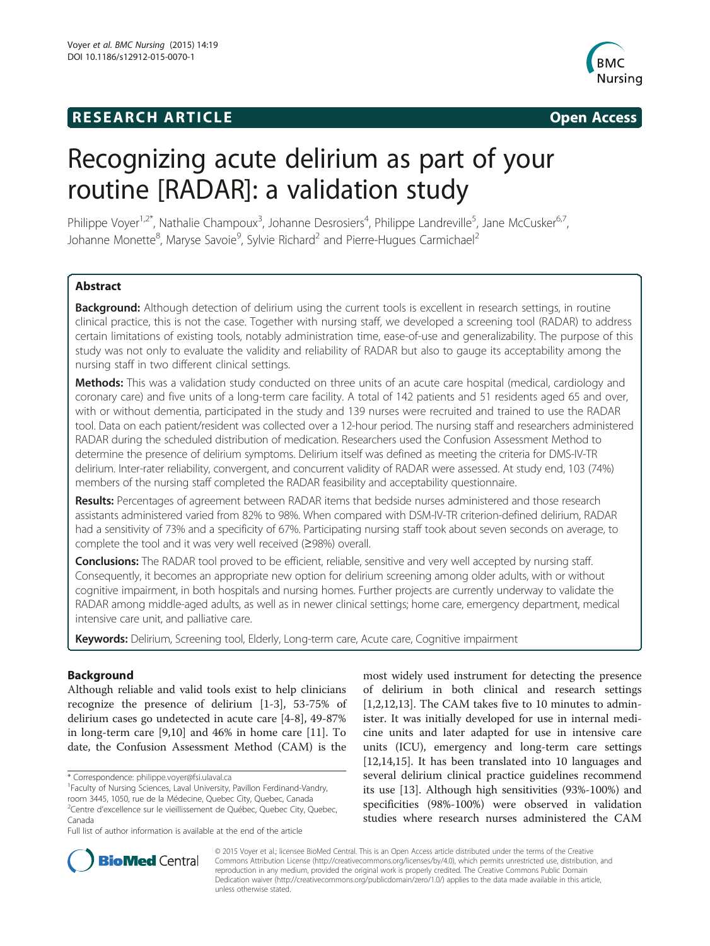# **RESEARCH ARTICLE Example 2014 CONSIDERING CONSIDERING CONSIDERING CONSIDERING CONSIDERING CONSIDERING CONSIDERING CONSIDERING CONSIDERING CONSIDERING CONSIDERING CONSIDERING CONSIDERING CONSIDERING CONSIDERING CONSIDE**



# Recognizing acute delirium as part of your routine [RADAR]: a validation study

Philippe Voyer<sup>1,2\*</sup>, Nathalie Champoux<sup>3</sup>, Johanne Desrosiers<sup>4</sup>, Philippe Landreville<sup>5</sup>, Jane McCusker<sup>6,7</sup>, Johanne Monette<sup>8</sup>, Maryse Savoie<sup>9</sup>, Sylvie Richard<sup>2</sup> and Pierre-Hugues Carmichael<sup>2</sup>

# **Abstract**

Background: Although detection of delirium using the current tools is excellent in research settings, in routine clinical practice, this is not the case. Together with nursing staff, we developed a screening tool (RADAR) to address certain limitations of existing tools, notably administration time, ease-of-use and generalizability. The purpose of this study was not only to evaluate the validity and reliability of RADAR but also to gauge its acceptability among the nursing staff in two different clinical settings.

Methods: This was a validation study conducted on three units of an acute care hospital (medical, cardiology and coronary care) and five units of a long-term care facility. A total of 142 patients and 51 residents aged 65 and over, with or without dementia, participated in the study and 139 nurses were recruited and trained to use the RADAR tool. Data on each patient/resident was collected over a 12-hour period. The nursing staff and researchers administered RADAR during the scheduled distribution of medication. Researchers used the Confusion Assessment Method to determine the presence of delirium symptoms. Delirium itself was defined as meeting the criteria for DMS-IV-TR delirium. Inter-rater reliability, convergent, and concurrent validity of RADAR were assessed. At study end, 103 (74%) members of the nursing staff completed the RADAR feasibility and acceptability questionnaire.

Results: Percentages of agreement between RADAR items that bedside nurses administered and those research assistants administered varied from 82% to 98%. When compared with DSM-IV-TR criterion-defined delirium, RADAR had a sensitivity of 73% and a specificity of 67%. Participating nursing staff took about seven seconds on average, to complete the tool and it was very well received (≥98%) overall.

Conclusions: The RADAR tool proved to be efficient, reliable, sensitive and very well accepted by nursing staff. Consequently, it becomes an appropriate new option for delirium screening among older adults, with or without cognitive impairment, in both hospitals and nursing homes. Further projects are currently underway to validate the RADAR among middle-aged adults, as well as in newer clinical settings; home care, emergency department, medical intensive care unit, and palliative care.

**Keywords:** Delirium, Screening tool, Elderly, Long-term care, Acute care, Cognitive impairment

# Background

Although reliable and valid tools exist to help clinicians recognize the presence of delirium [\[1](#page-12-0)-[3\]](#page-12-0), 53-75% of delirium cases go undetected in acute care [[4-8](#page-12-0)], 49-87% in long-term care [\[9,10](#page-12-0)] and 46% in home care [\[11](#page-12-0)]. To date, the Confusion Assessment Method (CAM) is the

most widely used instrument for detecting the presence of delirium in both clinical and research settings [[1,2,12,13\]](#page-12-0). The CAM takes five to 10 minutes to administer. It was initially developed for use in internal medicine units and later adapted for use in intensive care units (ICU), emergency and long-term care settings [[12,14,15\]](#page-12-0). It has been translated into 10 languages and several delirium clinical practice guidelines recommend its use [[13](#page-12-0)]. Although high sensitivities (93%-100%) and specificities (98%-100%) were observed in validation studies where research nurses administered the CAM



© 2015 Voyer et al.; licensee BioMed Central. This is an Open Access article distributed under the terms of the Creative Commons Attribution License [\(http://creativecommons.org/licenses/by/4.0\)](http://creativecommons.org/licenses/by/4.0), which permits unrestricted use, distribution, and reproduction in any medium, provided the original work is properly credited. The Creative Commons Public Domain Dedication waiver [\(http://creativecommons.org/publicdomain/zero/1.0/](http://creativecommons.org/publicdomain/zero/1.0/)) applies to the data made available in this article, unless otherwise stated.

<sup>\*</sup> Correspondence: [philippe.voyer@fsi.ulaval.ca](mailto:philippe.voyer@fsi.ulaval.ca) <sup>1</sup>

<sup>&</sup>lt;sup>1</sup> Faculty of Nursing Sciences, Laval University, Pavillon Ferdinand-Vandry, room 3445, 1050, rue de la Médecine, Quebec City, Quebec, Canada 2 Centre d'excellence sur le vieillissement de Québec, Quebec City, Quebec, Canada

Full list of author information is available at the end of the article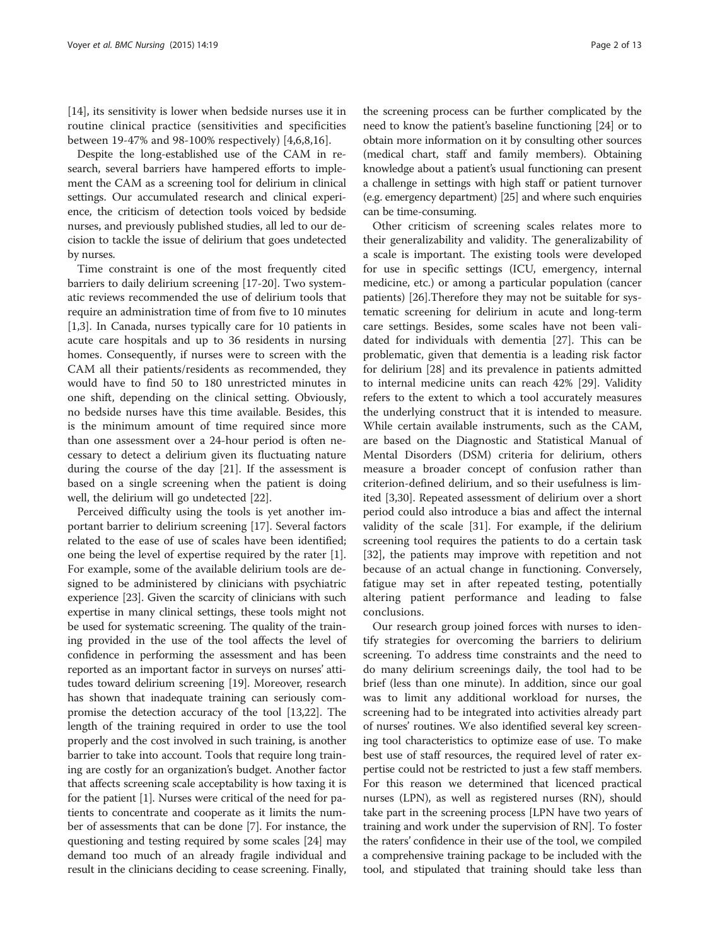[[14\]](#page-12-0), its sensitivity is lower when bedside nurses use it in routine clinical practice (sensitivities and specificities between 19-47% and 98-100% respectively) [[4,6,8](#page-12-0),[16\]](#page-12-0).

Despite the long-established use of the CAM in research, several barriers have hampered efforts to implement the CAM as a screening tool for delirium in clinical settings. Our accumulated research and clinical experience, the criticism of detection tools voiced by bedside nurses, and previously published studies, all led to our decision to tackle the issue of delirium that goes undetected by nurses.

Time constraint is one of the most frequently cited barriers to daily delirium screening [\[17](#page-12-0)-[20\]](#page-12-0). Two systematic reviews recommended the use of delirium tools that require an administration time of from five to 10 minutes [[1,3\]](#page-12-0). In Canada, nurses typically care for 10 patients in acute care hospitals and up to 36 residents in nursing homes. Consequently, if nurses were to screen with the CAM all their patients/residents as recommended, they would have to find 50 to 180 unrestricted minutes in one shift, depending on the clinical setting. Obviously, no bedside nurses have this time available. Besides, this is the minimum amount of time required since more than one assessment over a 24-hour period is often necessary to detect a delirium given its fluctuating nature during the course of the day [\[21](#page-12-0)]. If the assessment is based on a single screening when the patient is doing well, the delirium will go undetected [[22\]](#page-12-0).

Perceived difficulty using the tools is yet another important barrier to delirium screening [\[17](#page-12-0)]. Several factors related to the ease of use of scales have been identified; one being the level of expertise required by the rater [\[1](#page-12-0)]. For example, some of the available delirium tools are designed to be administered by clinicians with psychiatric experience [[23](#page-12-0)]. Given the scarcity of clinicians with such expertise in many clinical settings, these tools might not be used for systematic screening. The quality of the training provided in the use of the tool affects the level of confidence in performing the assessment and has been reported as an important factor in surveys on nurses' attitudes toward delirium screening [[19](#page-12-0)]. Moreover, research has shown that inadequate training can seriously compromise the detection accuracy of the tool [[13,22\]](#page-12-0). The length of the training required in order to use the tool properly and the cost involved in such training, is another barrier to take into account. Tools that require long training are costly for an organization's budget. Another factor that affects screening scale acceptability is how taxing it is for the patient [\[1\]](#page-12-0). Nurses were critical of the need for patients to concentrate and cooperate as it limits the number of assessments that can be done [[7\]](#page-12-0). For instance, the questioning and testing required by some scales [[24](#page-12-0)] may demand too much of an already fragile individual and result in the clinicians deciding to cease screening. Finally,

the screening process can be further complicated by the need to know the patient's baseline functioning [[24](#page-12-0)] or to obtain more information on it by consulting other sources (medical chart, staff and family members). Obtaining knowledge about a patient's usual functioning can present a challenge in settings with high staff or patient turnover (e.g. emergency department) [[25](#page-12-0)] and where such enquiries can be time-consuming.

Other criticism of screening scales relates more to their generalizability and validity. The generalizability of a scale is important. The existing tools were developed for use in specific settings (ICU, emergency, internal medicine, etc.) or among a particular population (cancer patients) [\[26](#page-12-0)].Therefore they may not be suitable for systematic screening for delirium in acute and long-term care settings. Besides, some scales have not been validated for individuals with dementia [[27](#page-12-0)]. This can be problematic, given that dementia is a leading risk factor for delirium [[28\]](#page-12-0) and its prevalence in patients admitted to internal medicine units can reach 42% [\[29\]](#page-12-0). Validity refers to the extent to which a tool accurately measures the underlying construct that it is intended to measure. While certain available instruments, such as the CAM, are based on the Diagnostic and Statistical Manual of Mental Disorders (DSM) criteria for delirium, others measure a broader concept of confusion rather than criterion-defined delirium, and so their usefulness is limited [\[3,30](#page-12-0)]. Repeated assessment of delirium over a short period could also introduce a bias and affect the internal validity of the scale [[31\]](#page-12-0). For example, if the delirium screening tool requires the patients to do a certain task [[32\]](#page-12-0), the patients may improve with repetition and not because of an actual change in functioning. Conversely, fatigue may set in after repeated testing, potentially altering patient performance and leading to false conclusions.

Our research group joined forces with nurses to identify strategies for overcoming the barriers to delirium screening. To address time constraints and the need to do many delirium screenings daily, the tool had to be brief (less than one minute). In addition, since our goal was to limit any additional workload for nurses, the screening had to be integrated into activities already part of nurses' routines. We also identified several key screening tool characteristics to optimize ease of use. To make best use of staff resources, the required level of rater expertise could not be restricted to just a few staff members. For this reason we determined that licenced practical nurses (LPN), as well as registered nurses (RN), should take part in the screening process [LPN have two years of training and work under the supervision of RN]. To foster the raters' confidence in their use of the tool, we compiled a comprehensive training package to be included with the tool, and stipulated that training should take less than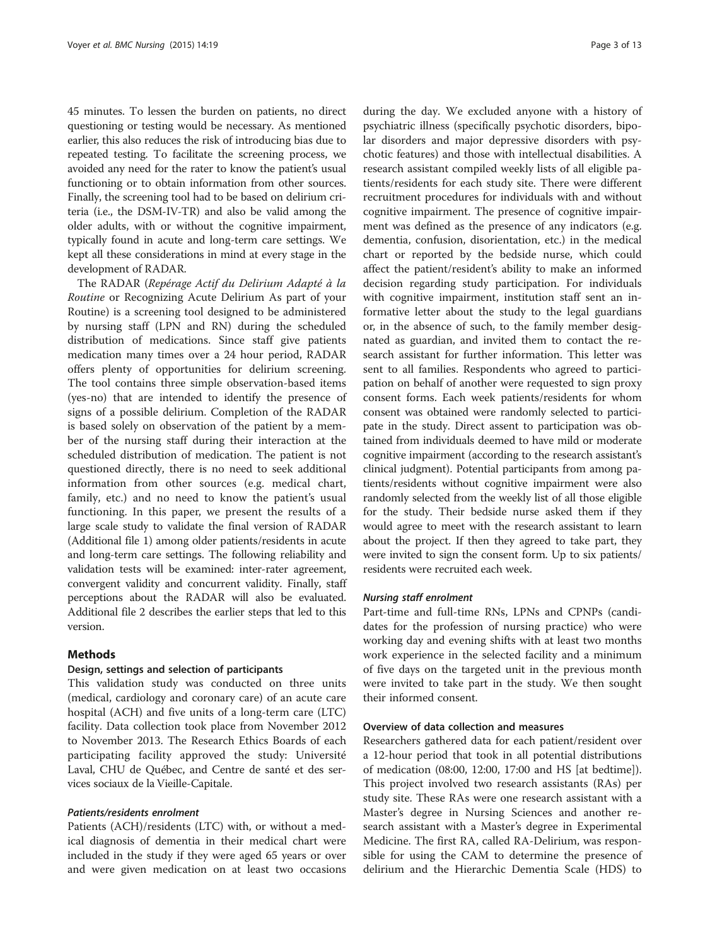45 minutes. To lessen the burden on patients, no direct questioning or testing would be necessary. As mentioned earlier, this also reduces the risk of introducing bias due to repeated testing. To facilitate the screening process, we avoided any need for the rater to know the patient's usual functioning or to obtain information from other sources. Finally, the screening tool had to be based on delirium criteria (i.e., the DSM-IV-TR) and also be valid among the older adults, with or without the cognitive impairment, typically found in acute and long-term care settings. We kept all these considerations in mind at every stage in the development of RADAR.

The RADAR (Repérage Actif du Delirium Adapté à la Routine or Recognizing Acute Delirium As part of your Routine) is a screening tool designed to be administered by nursing staff (LPN and RN) during the scheduled distribution of medications. Since staff give patients medication many times over a 24 hour period, RADAR offers plenty of opportunities for delirium screening. The tool contains three simple observation-based items (yes-no) that are intended to identify the presence of signs of a possible delirium. Completion of the RADAR is based solely on observation of the patient by a member of the nursing staff during their interaction at the scheduled distribution of medication. The patient is not questioned directly, there is no need to seek additional information from other sources (e.g. medical chart, family, etc.) and no need to know the patient's usual functioning. In this paper, we present the results of a large scale study to validate the final version of RADAR (Additional file [1\)](#page-11-0) among older patients/residents in acute and long-term care settings. The following reliability and validation tests will be examined: inter-rater agreement, convergent validity and concurrent validity. Finally, staff perceptions about the RADAR will also be evaluated. Additional file [2](#page-11-0) describes the earlier steps that led to this version.

# Methods

#### Design, settings and selection of participants

This validation study was conducted on three units (medical, cardiology and coronary care) of an acute care hospital (ACH) and five units of a long-term care (LTC) facility. Data collection took place from November 2012 to November 2013. The Research Ethics Boards of each participating facility approved the study: Université Laval, CHU de Québec, and Centre de santé et des services sociaux de la Vieille-Capitale.

#### Patients/residents enrolment

Patients (ACH)/residents (LTC) with, or without a medical diagnosis of dementia in their medical chart were included in the study if they were aged 65 years or over and were given medication on at least two occasions during the day. We excluded anyone with a history of psychiatric illness (specifically psychotic disorders, bipolar disorders and major depressive disorders with psychotic features) and those with intellectual disabilities. A research assistant compiled weekly lists of all eligible patients/residents for each study site. There were different recruitment procedures for individuals with and without cognitive impairment. The presence of cognitive impairment was defined as the presence of any indicators (e.g. dementia, confusion, disorientation, etc.) in the medical chart or reported by the bedside nurse, which could affect the patient/resident's ability to make an informed decision regarding study participation. For individuals with cognitive impairment, institution staff sent an informative letter about the study to the legal guardians or, in the absence of such, to the family member designated as guardian, and invited them to contact the research assistant for further information. This letter was sent to all families. Respondents who agreed to participation on behalf of another were requested to sign proxy consent forms. Each week patients/residents for whom consent was obtained were randomly selected to participate in the study. Direct assent to participation was obtained from individuals deemed to have mild or moderate cognitive impairment (according to the research assistant's clinical judgment). Potential participants from among patients/residents without cognitive impairment were also randomly selected from the weekly list of all those eligible for the study. Their bedside nurse asked them if they would agree to meet with the research assistant to learn about the project. If then they agreed to take part, they were invited to sign the consent form. Up to six patients/ residents were recruited each week.

#### Nursing staff enrolment

Part-time and full-time RNs, LPNs and CPNPs (candidates for the profession of nursing practice) who were working day and evening shifts with at least two months work experience in the selected facility and a minimum of five days on the targeted unit in the previous month were invited to take part in the study. We then sought their informed consent.

# Overview of data collection and measures

Researchers gathered data for each patient/resident over a 12-hour period that took in all potential distributions of medication (08:00, 12:00, 17:00 and HS [at bedtime]). This project involved two research assistants (RAs) per study site. These RAs were one research assistant with a Master's degree in Nursing Sciences and another research assistant with a Master's degree in Experimental Medicine. The first RA, called RA-Delirium, was responsible for using the CAM to determine the presence of delirium and the Hierarchic Dementia Scale (HDS) to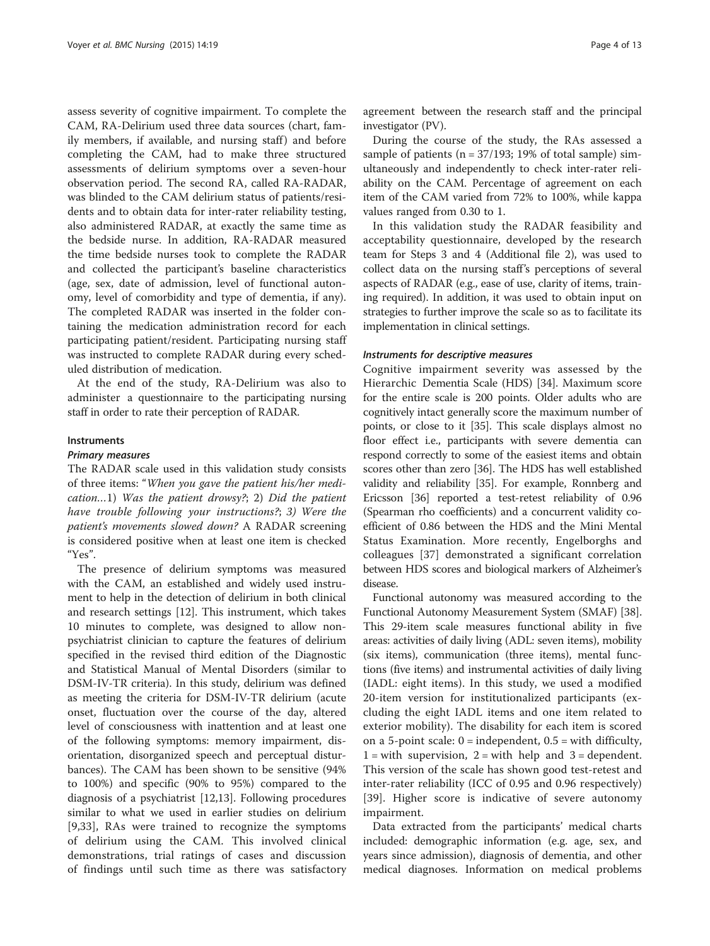assess severity of cognitive impairment. To complete the CAM, RA-Delirium used three data sources (chart, family members, if available, and nursing staff) and before completing the CAM, had to make three structured assessments of delirium symptoms over a seven-hour observation period. The second RA, called RA-RADAR, was blinded to the CAM delirium status of patients/residents and to obtain data for inter-rater reliability testing, also administered RADAR, at exactly the same time as the bedside nurse. In addition, RA-RADAR measured the time bedside nurses took to complete the RADAR and collected the participant's baseline characteristics (age, sex, date of admission, level of functional autonomy, level of comorbidity and type of dementia, if any). The completed RADAR was inserted in the folder containing the medication administration record for each participating patient/resident. Participating nursing staff was instructed to complete RADAR during every scheduled distribution of medication.

At the end of the study, RA-Delirium was also to administer a questionnaire to the participating nursing staff in order to rate their perception of RADAR.

#### **Instruments**

#### Primary measures

The RADAR scale used in this validation study consists of three items: "When you gave the patient his/her medication…1) Was the patient drowsy?; 2) Did the patient have trouble following your instructions?; 3) Were the patient's movements slowed down? A RADAR screening is considered positive when at least one item is checked "Yes".

The presence of delirium symptoms was measured with the CAM, an established and widely used instrument to help in the detection of delirium in both clinical and research settings [[12](#page-12-0)]. This instrument, which takes 10 minutes to complete, was designed to allow nonpsychiatrist clinician to capture the features of delirium specified in the revised third edition of the Diagnostic and Statistical Manual of Mental Disorders (similar to DSM-IV-TR criteria). In this study, delirium was defined as meeting the criteria for DSM-IV-TR delirium (acute onset, fluctuation over the course of the day, altered level of consciousness with inattention and at least one of the following symptoms: memory impairment, disorientation, disorganized speech and perceptual disturbances). The CAM has been shown to be sensitive (94% to 100%) and specific (90% to 95%) compared to the diagnosis of a psychiatrist [[12,13\]](#page-12-0). Following procedures similar to what we used in earlier studies on delirium [[9,33](#page-12-0)], RAs were trained to recognize the symptoms of delirium using the CAM. This involved clinical demonstrations, trial ratings of cases and discussion of findings until such time as there was satisfactory

agreement between the research staff and the principal investigator (PV).

During the course of the study, the RAs assessed a sample of patients ( $n = 37/193$ ; 19% of total sample) simultaneously and independently to check inter-rater reliability on the CAM. Percentage of agreement on each item of the CAM varied from 72% to 100%, while kappa values ranged from 0.30 to 1.

In this validation study the RADAR feasibility and acceptability questionnaire, developed by the research team for Steps 3 and 4 (Additional file [2\)](#page-11-0), was used to collect data on the nursing staff's perceptions of several aspects of RADAR (e.g., ease of use, clarity of items, training required). In addition, it was used to obtain input on strategies to further improve the scale so as to facilitate its implementation in clinical settings.

#### Instruments for descriptive measures

Cognitive impairment severity was assessed by the Hierarchic Dementia Scale (HDS) [\[34](#page-12-0)]. Maximum score for the entire scale is 200 points. Older adults who are cognitively intact generally score the maximum number of points, or close to it [[35](#page-12-0)]. This scale displays almost no floor effect i.e., participants with severe dementia can respond correctly to some of the easiest items and obtain scores other than zero [[36](#page-12-0)]. The HDS has well established validity and reliability [\[35\]](#page-12-0). For example, Ronnberg and Ericsson [[36](#page-12-0)] reported a test-retest reliability of 0.96 (Spearman rho coefficients) and a concurrent validity coefficient of 0.86 between the HDS and the Mini Mental Status Examination. More recently, Engelborghs and colleagues [\[37](#page-12-0)] demonstrated a significant correlation between HDS scores and biological markers of Alzheimer's disease.

Functional autonomy was measured according to the Functional Autonomy Measurement System (SMAF) [[38](#page-12-0)]. This 29-item scale measures functional ability in five areas: activities of daily living (ADL: seven items), mobility (six items), communication (three items), mental functions (five items) and instrumental activities of daily living (IADL: eight items). In this study, we used a modified 20-item version for institutionalized participants (excluding the eight IADL items and one item related to exterior mobility). The disability for each item is scored on a 5-point scale:  $0 =$  independent,  $0.5 =$  with difficulty,  $1 =$  with supervision,  $2 =$  with help and  $3 =$  dependent. This version of the scale has shown good test-retest and inter-rater reliability (ICC of 0.95 and 0.96 respectively) [[39](#page-12-0)]. Higher score is indicative of severe autonomy impairment.

Data extracted from the participants' medical charts included: demographic information (e.g. age, sex, and years since admission), diagnosis of dementia, and other medical diagnoses. Information on medical problems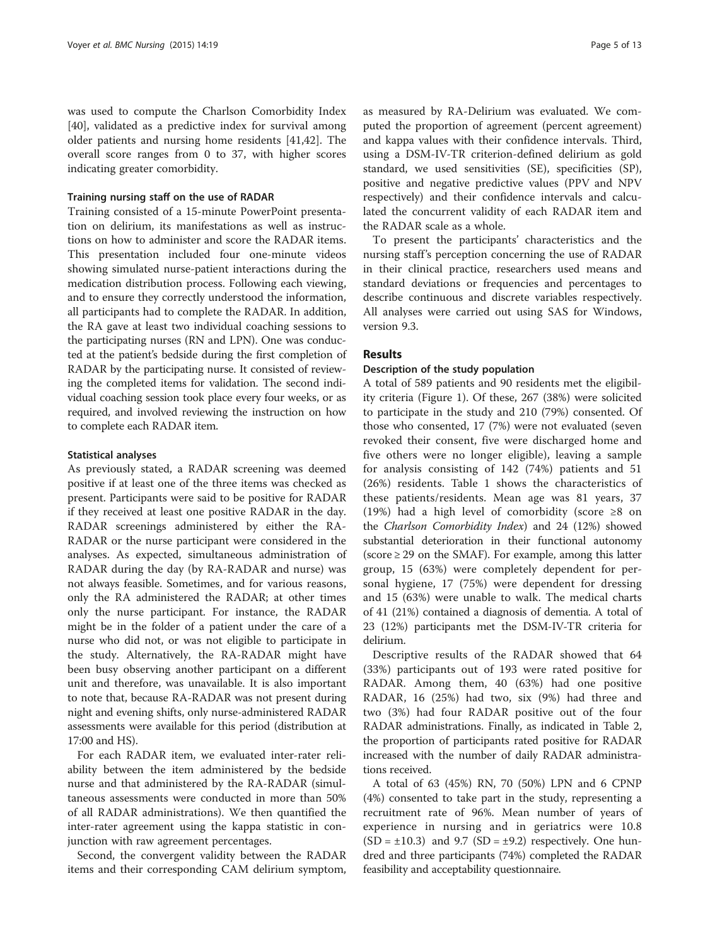was used to compute the Charlson Comorbidity Index [[40\]](#page-12-0), validated as a predictive index for survival among older patients and nursing home residents [\[41,42\]](#page-12-0). The overall score ranges from 0 to 37, with higher scores indicating greater comorbidity.

#### Training nursing staff on the use of RADAR

Training consisted of a 15-minute PowerPoint presentation on delirium, its manifestations as well as instructions on how to administer and score the RADAR items. This presentation included four one-minute videos showing simulated nurse-patient interactions during the medication distribution process. Following each viewing, and to ensure they correctly understood the information, all participants had to complete the RADAR. In addition, the RA gave at least two individual coaching sessions to the participating nurses (RN and LPN). One was conducted at the patient's bedside during the first completion of RADAR by the participating nurse. It consisted of reviewing the completed items for validation. The second individual coaching session took place every four weeks, or as required, and involved reviewing the instruction on how to complete each RADAR item.

#### Statistical analyses

As previously stated, a RADAR screening was deemed positive if at least one of the three items was checked as present. Participants were said to be positive for RADAR if they received at least one positive RADAR in the day. RADAR screenings administered by either the RA-RADAR or the nurse participant were considered in the analyses. As expected, simultaneous administration of RADAR during the day (by RA-RADAR and nurse) was not always feasible. Sometimes, and for various reasons, only the RA administered the RADAR; at other times only the nurse participant. For instance, the RADAR might be in the folder of a patient under the care of a nurse who did not, or was not eligible to participate in the study. Alternatively, the RA-RADAR might have been busy observing another participant on a different unit and therefore, was unavailable. It is also important to note that, because RA-RADAR was not present during night and evening shifts, only nurse-administered RADAR assessments were available for this period (distribution at 17:00 and HS).

For each RADAR item, we evaluated inter-rater reliability between the item administered by the bedside nurse and that administered by the RA-RADAR (simultaneous assessments were conducted in more than 50% of all RADAR administrations). We then quantified the inter-rater agreement using the kappa statistic in conjunction with raw agreement percentages.

Second, the convergent validity between the RADAR items and their corresponding CAM delirium symptom,

as measured by RA-Delirium was evaluated. We computed the proportion of agreement (percent agreement) and kappa values with their confidence intervals. Third, using a DSM-IV-TR criterion-defined delirium as gold standard, we used sensitivities (SE), specificities (SP), positive and negative predictive values (PPV and NPV respectively) and their confidence intervals and calculated the concurrent validity of each RADAR item and the RADAR scale as a whole.

To present the participants' characteristics and the nursing staff's perception concerning the use of RADAR in their clinical practice, researchers used means and standard deviations or frequencies and percentages to describe continuous and discrete variables respectively. All analyses were carried out using SAS for Windows, version 9.3.

#### Results

#### Description of the study population

A total of 589 patients and 90 residents met the eligibility criteria (Figure [1\)](#page-6-0). Of these, 267 (38%) were solicited to participate in the study and 210 (79%) consented. Of those who consented, 17 (7%) were not evaluated (seven revoked their consent, five were discharged home and five others were no longer eligible), leaving a sample for analysis consisting of 142 (74%) patients and 51 (26%) residents. Table [1](#page-6-0) shows the characteristics of these patients/residents. Mean age was 81 years, 37 (19%) had a high level of comorbidity (score ≥8 on the Charlson Comorbidity Index) and 24 (12%) showed substantial deterioration in their functional autonomy  $(score \geq 29)$  on the SMAF). For example, among this latter group, 15 (63%) were completely dependent for personal hygiene, 17 (75%) were dependent for dressing and 15 (63%) were unable to walk. The medical charts of 41 (21%) contained a diagnosis of dementia. A total of 23 (12%) participants met the DSM-IV-TR criteria for delirium.

Descriptive results of the RADAR showed that 64 (33%) participants out of 193 were rated positive for RADAR. Among them, 40 (63%) had one positive RADAR, 16 (25%) had two, six (9%) had three and two (3%) had four RADAR positive out of the four RADAR administrations. Finally, as indicated in Table [2](#page-7-0), the proportion of participants rated positive for RADAR increased with the number of daily RADAR administrations received.

A total of 63 (45%) RN, 70 (50%) LPN and 6 CPNP (4%) consented to take part in the study, representing a recruitment rate of 96%. Mean number of years of experience in nursing and in geriatrics were 10.8  $(SD = \pm 10.3)$  and 9.7  $(SD = \pm 9.2)$  respectively. One hundred and three participants (74%) completed the RADAR feasibility and acceptability questionnaire.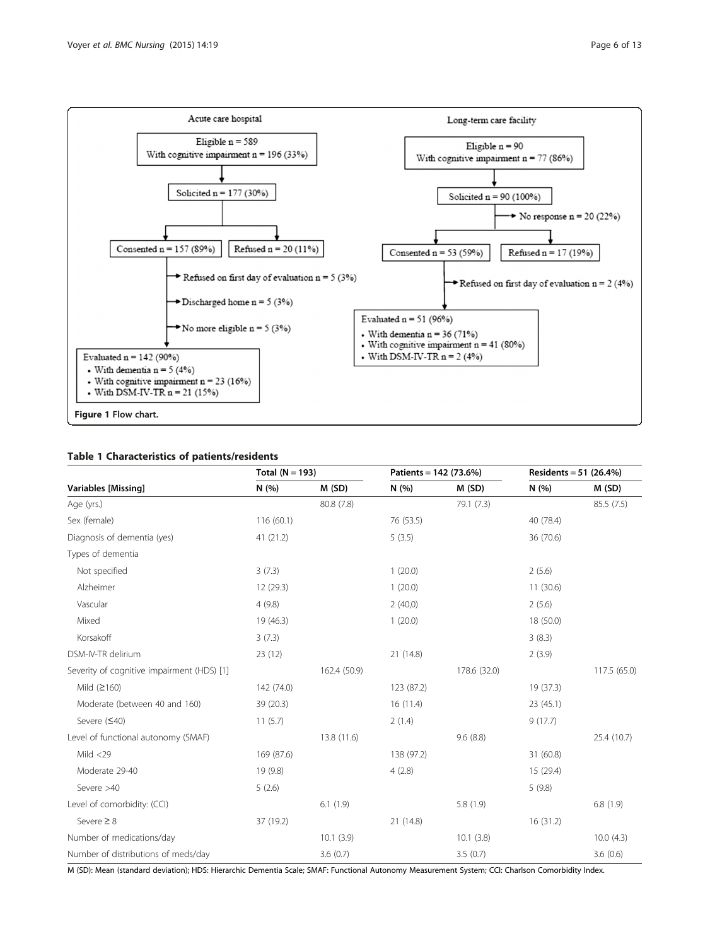<span id="page-6-0"></span>

# Table 1 Characteristics of patients/residents

|                                            | Total $(N = 193)$ |              | Patients = 142 (73.6%) |              | Residents = $51$ (26.4%) |              |
|--------------------------------------------|-------------------|--------------|------------------------|--------------|--------------------------|--------------|
| <b>Variables [Missing]</b>                 | N(%)              | M(SD)        | N(%)                   | M(SD)        | N(%)                     | M(SD)        |
| Age (yrs.)                                 |                   | 80.8 (7.8)   |                        | 79.1 (7.3)   |                          | 85.5 (7.5)   |
| Sex (female)                               | 116(60.1)         |              | 76 (53.5)              |              | 40 (78.4)                |              |
| Diagnosis of dementia (yes)                | 41 (21.2)         |              | 5(3.5)                 |              | 36 (70.6)                |              |
| Types of dementia                          |                   |              |                        |              |                          |              |
| Not specified                              | 3(7.3)            |              | 1(20.0)                |              | 2(5.6)                   |              |
| Alzheimer                                  | 12 (29.3)         |              | 1(20.0)                |              | 11(30.6)                 |              |
| Vascular                                   | 4(9.8)            |              | 2(40,0)                |              | 2(5.6)                   |              |
| Mixed                                      | 19 (46.3)         |              | 1(20.0)                |              | 18 (50.0)                |              |
| Korsakoff                                  | 3(7.3)            |              |                        |              | 3(8.3)                   |              |
| DSM-IV-TR delirium                         | 23(12)            |              | 21 (14.8)              |              | 2(3.9)                   |              |
| Severity of cognitive impairment (HDS) [1] |                   | 162.4 (50.9) |                        | 178.6 (32.0) |                          | 117.5 (65.0) |
| Mild $(≥160)$                              | 142 (74.0)        |              | 123 (87.2)             |              | 19 (37.3)                |              |
| Moderate (between 40 and 160)              | 39 (20.3)         |              | 16(11.4)               |              | 23(45.1)                 |              |
| Severe (≤40)                               | 11(5.7)           |              | 2(1.4)                 |              | 9(17.7)                  |              |
| Level of functional autonomy (SMAF)        |                   | 13.8 (11.6)  |                        | 9.6(8.8)     |                          | 25.4 (10.7)  |
| Mild $<$ 29                                | 169 (87.6)        |              | 138 (97.2)             |              | 31 (60.8)                |              |
| Moderate 29-40                             | 19 (9.8)          |              | 4(2.8)                 |              | 15 (29.4)                |              |
| Severe >40                                 | 5(2.6)            |              |                        |              | 5(9.8)                   |              |
| Level of comorbidity: (CCI)                |                   | 6.1(1.9)     |                        | 5.8(1.9)     |                          | 6.8(1.9)     |
| Severe $\geq 8$                            | 37 (19.2)         |              | 21 (14.8)              |              | 16 (31.2)                |              |
| Number of medications/day                  |                   | 10.1(3.9)    |                        | 10.1(3.8)    |                          | 10.0(4.3)    |
| Number of distributions of meds/day        |                   | 3.6(0.7)     |                        | 3.5(0.7)     |                          | 3.6(0.6)     |

M (SD): Mean (standard deviation); HDS: Hierarchic Dementia Scale; SMAF: Functional Autonomy Measurement System; CCI: Charlson Comorbidity Index.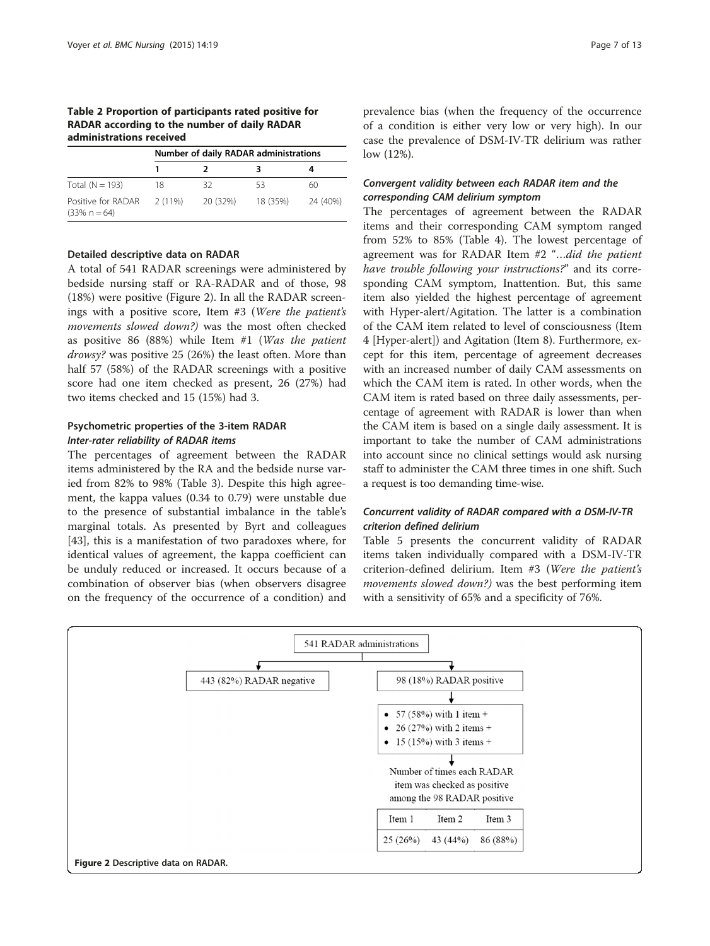#### <span id="page-7-0"></span>Table 2 Proportion of participants rated positive for RADAR according to the number of daily RADAR administrations received

|                                       | Number of daily RADAR administrations |          |          |          |
|---------------------------------------|---------------------------------------|----------|----------|----------|
|                                       |                                       |          |          |          |
| Total $(N = 193)$                     | 18.                                   | 32       | 53       | 60       |
| Positive for RADAR<br>$(33\% n = 64)$ | $2(11\%)$                             | 20 (32%) | 18 (35%) | 24 (40%) |

#### Detailed descriptive data on RADAR

A total of 541 RADAR screenings were administered by bedside nursing staff or RA-RADAR and of those, 98 (18%) were positive (Figure 2). In all the RADAR screenings with a positive score, Item #3 (Were the patient's movements slowed down?) was the most often checked as positive 86 (88%) while Item #1 (Was the patient drowsy? was positive 25 (26%) the least often. More than half 57 (58%) of the RADAR screenings with a positive score had one item checked as present, 26 (27%) had two items checked and 15 (15%) had 3.

## Psychometric properties of the 3-item RADAR Inter-rater reliability of RADAR items

The percentages of agreement between the RADAR items administered by the RA and the bedside nurse varied from 82% to 98% (Table [3](#page-8-0)). Despite this high agreement, the kappa values (0.34 to 0.79) were unstable due to the presence of substantial imbalance in the table's marginal totals. As presented by Byrt and colleagues [[43\]](#page-12-0), this is a manifestation of two paradoxes where, for identical values of agreement, the kappa coefficient can be unduly reduced or increased. It occurs because of a combination of observer bias (when observers disagree on the frequency of the occurrence of a condition) and

prevalence bias (when the frequency of the occurrence of a condition is either very low or very high). In our case the prevalence of DSM-IV-TR delirium was rather low (12%).

# Convergent validity between each RADAR item and the corresponding CAM delirium symptom

The percentages of agreement between the RADAR items and their corresponding CAM symptom ranged from 52% to 85% (Table [4](#page-8-0)). The lowest percentage of agreement was for RADAR Item #2 "…did the patient have trouble following your instructions?" and its corresponding CAM symptom, Inattention. But, this same item also yielded the highest percentage of agreement with Hyper-alert/Agitation. The latter is a combination of the CAM item related to level of consciousness (Item 4 [Hyper-alert]) and Agitation (Item 8). Furthermore, except for this item, percentage of agreement decreases with an increased number of daily CAM assessments on which the CAM item is rated. In other words, when the CAM item is rated based on three daily assessments, percentage of agreement with RADAR is lower than when the CAM item is based on a single daily assessment. It is important to take the number of CAM administrations into account since no clinical settings would ask nursing staff to administer the CAM three times in one shift. Such a request is too demanding time-wise.

# Concurrent validity of RADAR compared with a DSM-IV-TR criterion defined delirium

Table [5](#page-9-0) presents the concurrent validity of RADAR items taken individually compared with a DSM-IV-TR criterion-defined delirium. Item #3 (Were the patient's movements slowed down?) was the best performing item with a sensitivity of 65% and a specificity of 76%.

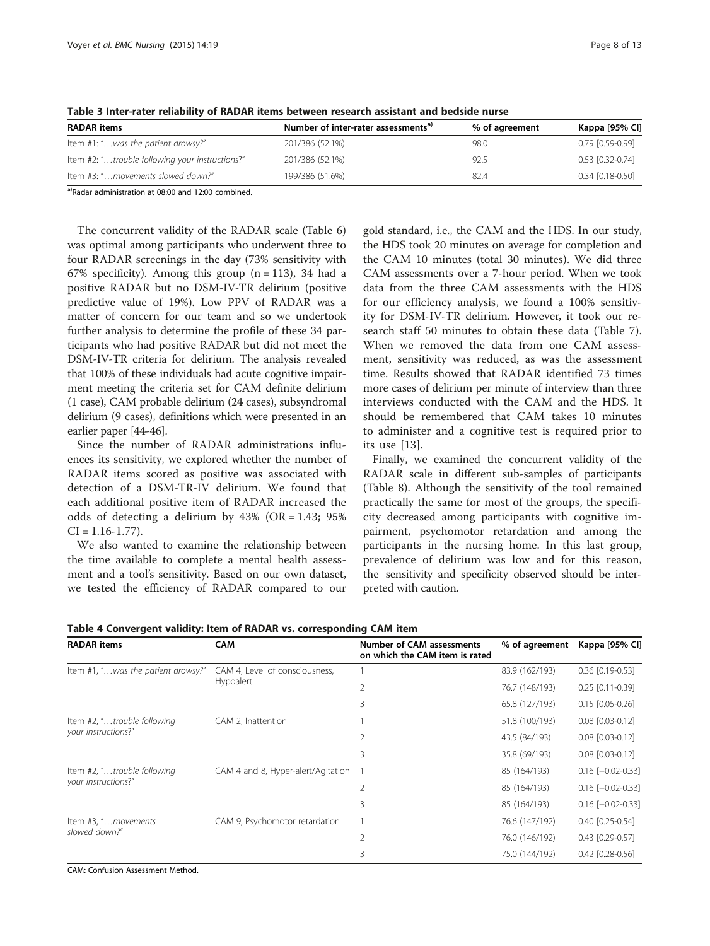| בכומות שכמשים הוועדים ושוכנים וביושלות המונח המונח של הוריטו וס |                |                        |  |  |  |  |  |
|-----------------------------------------------------------------|----------------|------------------------|--|--|--|--|--|
| Number of inter-rater assessments <sup>a)</sup>                 | % of agreement | Kappa [95% CI]         |  |  |  |  |  |
| 201/386 (52.1%)                                                 | 98.0           | 0.79 [0.59-0.99]       |  |  |  |  |  |
| 201/386 (52.1%)                                                 | 92.5           | 0.53 [0.32-0.74]       |  |  |  |  |  |
| 199/386 (51.6%)                                                 | 82.4           | $0.34$ $[0.18 - 0.50]$ |  |  |  |  |  |
|                                                                 |                |                        |  |  |  |  |  |

<span id="page-8-0"></span>Table 3 Inter-rater reliability of RADAR items between research assistant and bedside nurse

a)Radar administration at 08:00 and 12:00 combined.

The concurrent validity of the RADAR scale (Table [6](#page-9-0)) was optimal among participants who underwent three to four RADAR screenings in the day (73% sensitivity with 67% specificity). Among this group  $(n = 113)$ , 34 had a positive RADAR but no DSM-IV-TR delirium (positive predictive value of 19%). Low PPV of RADAR was a matter of concern for our team and so we undertook further analysis to determine the profile of these 34 participants who had positive RADAR but did not meet the DSM-IV-TR criteria for delirium. The analysis revealed that 100% of these individuals had acute cognitive impairment meeting the criteria set for CAM definite delirium (1 case), CAM probable delirium (24 cases), subsyndromal delirium (9 cases), definitions which were presented in an earlier paper [[44](#page-12-0)-[46](#page-13-0)].

Since the number of RADAR administrations influences its sensitivity, we explored whether the number of RADAR items scored as positive was associated with detection of a DSM-TR-IV delirium. We found that each additional positive item of RADAR increased the odds of detecting a delirium by  $43\%$  (OR = 1.43;  $95\%$ )  $CI = 1.16 - 1.77$ .

We also wanted to examine the relationship between the time available to complete a mental health assessment and a tool's sensitivity. Based on our own dataset, we tested the efficiency of RADAR compared to our gold standard, i.e., the CAM and the HDS. In our study, the HDS took 20 minutes on average for completion and the CAM 10 minutes (total 30 minutes). We did three CAM assessments over a 7-hour period. When we took data from the three CAM assessments with the HDS for our efficiency analysis, we found a 100% sensitivity for DSM-IV-TR delirium. However, it took our research staff 50 minutes to obtain these data (Table [7](#page-10-0)). When we removed the data from one CAM assessment, sensitivity was reduced, as was the assessment time. Results showed that RADAR identified 73 times more cases of delirium per minute of interview than three interviews conducted with the CAM and the HDS. It should be remembered that CAM takes 10 minutes to administer and a cognitive test is required prior to its use [\[13](#page-12-0)].

Finally, we examined the concurrent validity of the RADAR scale in different sub-samples of participants (Table [8\)](#page-10-0). Although the sensitivity of the tool remained practically the same for most of the groups, the specificity decreased among participants with cognitive impairment, psychomotor retardation and among the participants in the nursing home. In this last group, prevalence of delirium was low and for this reason, the sensitivity and specificity observed should be interpreted with caution.

Table 4 Convergent validity: Item of RADAR vs. corresponding CAM item

| <b>RADAR</b> items                                 | <b>CAM</b>                         | <b>Number of CAM assessments</b><br>on which the CAM item is rated | % of agreement | Kappa [95% CI]          |
|----------------------------------------------------|------------------------------------|--------------------------------------------------------------------|----------------|-------------------------|
| Item #1, " was the patient drowsy?"                | CAM 4, Level of consciousness,     |                                                                    | 83.9 (162/193) | $0.36$ $[0.19 - 0.53]$  |
|                                                    | <b>Hypoalert</b>                   | 2                                                                  | 76.7 (148/193) | $0.25$ [0.11-0.39]      |
|                                                    |                                    | 3                                                                  | 65.8 (127/193) | $0.15$ $[0.05 - 0.26]$  |
| Item #2, "trouble following                        | CAM 2, Inattention                 |                                                                    | 51.8 (100/193) | $0.08$ $[0.03 - 0.12]$  |
| your instructions?"                                |                                    | 2                                                                  | 43.5 (84/193)  | $0.08$ $[0.03 - 0.12]$  |
|                                                    |                                    | 3                                                                  | 35.8 (69/193)  | $0.08$ $[0.03 - 0.12]$  |
| Item #2, "trouble following<br>your instructions?" | CAM 4 and 8, Hyper-alert/Agitation |                                                                    | 85 (164/193)   | $0.16$ $[-0.02 - 0.33]$ |
|                                                    |                                    | 2                                                                  | 85 (164/193)   | $0.16$ [-0.02-0.33]     |
|                                                    |                                    | 3                                                                  | 85 (164/193)   | $0.16$ $[-0.02 - 0.33]$ |
| Item #3, "movements                                | CAM 9, Psychomotor retardation     |                                                                    | 76.6 (147/192) | $0.40$ $[0.25 - 0.54]$  |
| slowed down?"                                      |                                    | 2                                                                  | 76.0 (146/192) | $0.43$ [0.29-0.57]      |
|                                                    |                                    | 3                                                                  | 75.0 (144/192) | $0.42$ [0.28-0.56]      |

CAM: Confusion Assessment Method.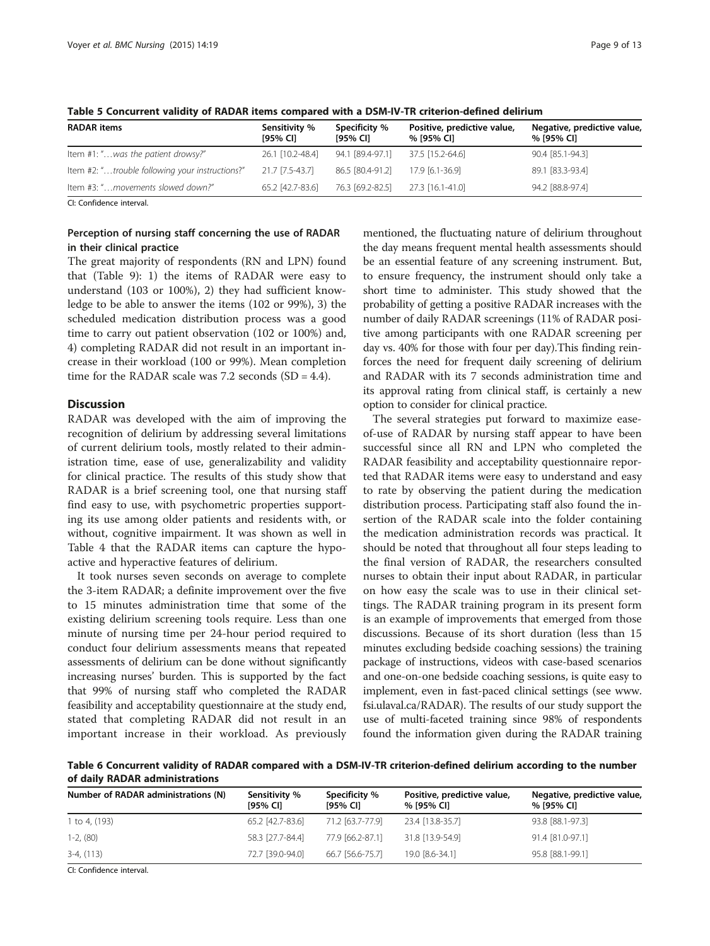| <b>RADAR</b> items                              | Sensitivity %<br>[95% CI] | Specificity %<br>[95% CI] | Positive, predictive value,<br>% [95% CI] | Negative, predictive value<br>% [95% CI] |  |
|-------------------------------------------------|---------------------------|---------------------------|-------------------------------------------|------------------------------------------|--|
| Item #1: " was the patient drowsy?"             | 26.1 [10.2-48.4]          | 94.1 [89.4-97.1]          | 37.5 [15.2-64.6]                          | 90.4 [85.1-94.3]                         |  |
| ltem #2: "trouble following your instructions?" | 21.7 [7.5-43.7]           | 86.5 [80.4-91.2]          | 17.9 [6.1-36.9]                           | 89.1 [83.3-93.4]                         |  |
| Item #3: "movements slowed down?"               | 65.2 [42.7-83.6]          | 76.3 [69.2-82.5]          | 27.3 [16.1-41.0]                          | 94.2 [88.8-97.4]                         |  |

<span id="page-9-0"></span>Table 5 Concurrent validity of RADAR items compared with a DSM-IV-TR criterion-defined delirium

CI: Confidence interval.

# Perception of nursing staff concerning the use of RADAR in their clinical practice

The great majority of respondents (RN and LPN) found that (Table [9\)](#page-11-0): 1) the items of RADAR were easy to understand (103 or 100%), 2) they had sufficient knowledge to be able to answer the items (102 or 99%), 3) the scheduled medication distribution process was a good time to carry out patient observation (102 or 100%) and, 4) completing RADAR did not result in an important increase in their workload (100 or 99%). Mean completion time for the RADAR scale was  $7.2$  seconds  $(SD = 4.4)$ .

# **Discussion**

RADAR was developed with the aim of improving the recognition of delirium by addressing several limitations of current delirium tools, mostly related to their administration time, ease of use, generalizability and validity for clinical practice. The results of this study show that RADAR is a brief screening tool, one that nursing staff find easy to use, with psychometric properties supporting its use among older patients and residents with, or without, cognitive impairment. It was shown as well in Table [4](#page-8-0) that the RADAR items can capture the hypoactive and hyperactive features of delirium.

It took nurses seven seconds on average to complete the 3-item RADAR; a definite improvement over the five to 15 minutes administration time that some of the existing delirium screening tools require. Less than one minute of nursing time per 24-hour period required to conduct four delirium assessments means that repeated assessments of delirium can be done without significantly increasing nurses' burden. This is supported by the fact that 99% of nursing staff who completed the RADAR feasibility and acceptability questionnaire at the study end, stated that completing RADAR did not result in an important increase in their workload. As previously

mentioned, the fluctuating nature of delirium throughout the day means frequent mental health assessments should be an essential feature of any screening instrument. But, to ensure frequency, the instrument should only take a short time to administer. This study showed that the probability of getting a positive RADAR increases with the number of daily RADAR screenings (11% of RADAR positive among participants with one RADAR screening per day vs. 40% for those with four per day).This finding reinforces the need for frequent daily screening of delirium and RADAR with its 7 seconds administration time and its approval rating from clinical staff, is certainly a new option to consider for clinical practice.

The several strategies put forward to maximize easeof-use of RADAR by nursing staff appear to have been successful since all RN and LPN who completed the RADAR feasibility and acceptability questionnaire reported that RADAR items were easy to understand and easy to rate by observing the patient during the medication distribution process. Participating staff also found the insertion of the RADAR scale into the folder containing the medication administration records was practical. It should be noted that throughout all four steps leading to the final version of RADAR, the researchers consulted nurses to obtain their input about RADAR, in particular on how easy the scale was to use in their clinical settings. The RADAR training program in its present form is an example of improvements that emerged from those discussions. Because of its short duration (less than 15 minutes excluding bedside coaching sessions) the training package of instructions, videos with case-based scenarios and one-on-one bedside coaching sessions, is quite easy to implement, even in fast-paced clinical settings (see [www.](http://www.fsi.ulaval.ca/RADAR) [fsi.ulaval.ca/RADAR\)](http://www.fsi.ulaval.ca/RADAR). The results of our study support the use of multi-faceted training since 98% of respondents found the information given during the RADAR training

Table 6 Concurrent validity of RADAR compared with a DSM-IV-TR criterion-defined delirium according to the number of daily RADAR administrations

| Number of RADAR administrations (N) | Sensitivity %<br>[95% CI] | Specificity %<br>[95% CI] | Positive, predictive value,<br>% [95% CI] | Negative, predictive value,<br>% [95% CI] |  |
|-------------------------------------|---------------------------|---------------------------|-------------------------------------------|-------------------------------------------|--|
| 1 to 4, (193)                       | 65.2 [42.7-83.6]          | 71.2 [63.7-77.9]          | 23.4 [13.8-35.7]                          | 93.8 [88.1-97.3]                          |  |
| $1-2, (80)$                         | 58.3 [27.7-84.4]          | 77.9 [66.2-87.1]          | 31.8 [13.9-54.9]                          | 91.4 [81.0-97.1]                          |  |
| $3-4, (113)$                        | 72.7 [39.0-94.0]          | 66.7 [56.6-75.7]          | 19.0 [8.6-34.1]                           | 95.8 [88.1-99.1]                          |  |
|                                     |                           |                           |                                           |                                           |  |

CI: Confidence interval.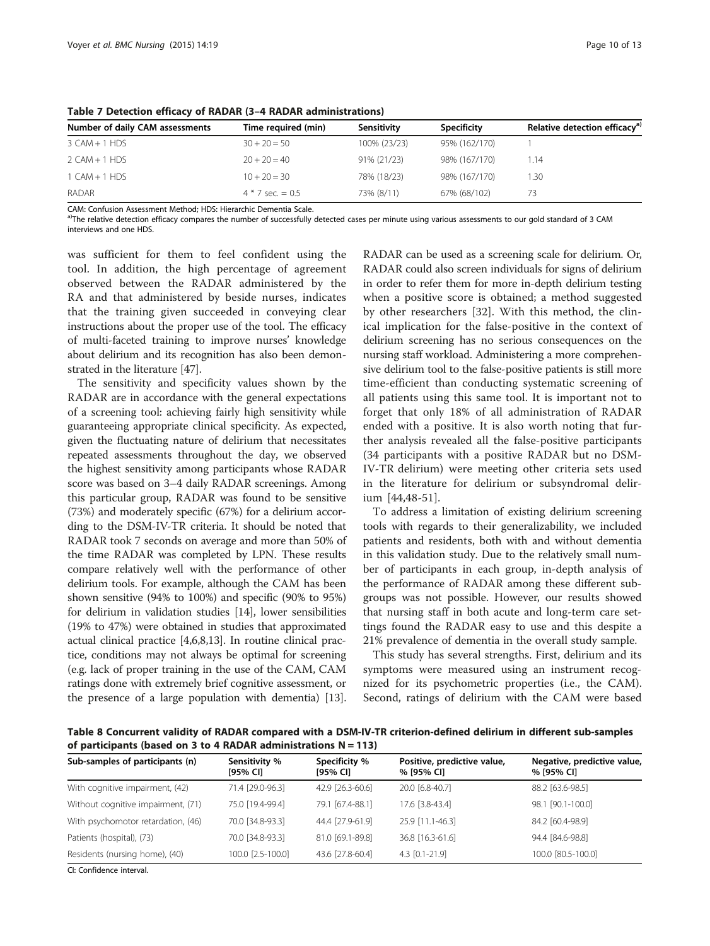| Number of daily CAM assessments | Time required (min) | Sensitivity  | <b>Specificity</b> | Relative detection efficacy <sup>a)</sup> |
|---------------------------------|---------------------|--------------|--------------------|-------------------------------------------|
| $3$ CAM $+$ 1 HDS               | $30 + 20 = 50$      | 100% (23/23) | 95% (162/170)      |                                           |
| $2$ CAM $+$ 1 HDS               | $20 + 20 = 40$      | 91% (21/23)  | 98% (167/170)      | 1.14                                      |
| $1$ CAM $+$ 1 HDS               | $10 + 20 = 30$      | 78% (18/23)  | 98% (167/170)      | 1.30                                      |
| RADAR                           | $4 * 7$ sec. = 0.5  | 73% (8/11)   | 67% (68/102)       | 73                                        |

<span id="page-10-0"></span>Table 7 Detection efficacy of RADAR (3–4 RADAR administrations)

CAM: Confusion Assessment Method; HDS: Hierarchic Dementia Scale.

a)The relative detection efficacy compares the number of successfully detected cases per minute using various assessments to our gold standard of 3 CAM interviews and one HDS.

was sufficient for them to feel confident using the tool. In addition, the high percentage of agreement observed between the RADAR administered by the RA and that administered by beside nurses, indicates that the training given succeeded in conveying clear instructions about the proper use of the tool. The efficacy of multi-faceted training to improve nurses' knowledge about delirium and its recognition has also been demonstrated in the literature [\[47](#page-13-0)].

The sensitivity and specificity values shown by the RADAR are in accordance with the general expectations of a screening tool: achieving fairly high sensitivity while guaranteeing appropriate clinical specificity. As expected, given the fluctuating nature of delirium that necessitates repeated assessments throughout the day, we observed the highest sensitivity among participants whose RADAR score was based on 3–4 daily RADAR screenings. Among this particular group, RADAR was found to be sensitive (73%) and moderately specific (67%) for a delirium according to the DSM-IV-TR criteria. It should be noted that RADAR took 7 seconds on average and more than 50% of the time RADAR was completed by LPN. These results compare relatively well with the performance of other delirium tools. For example, although the CAM has been shown sensitive (94% to 100%) and specific (90% to 95%) for delirium in validation studies [[14](#page-12-0)], lower sensibilities (19% to 47%) were obtained in studies that approximated actual clinical practice [\[4,6,8,13](#page-12-0)]. In routine clinical practice, conditions may not always be optimal for screening (e.g. lack of proper training in the use of the CAM, CAM ratings done with extremely brief cognitive assessment, or the presence of a large population with dementia) [[13](#page-12-0)].

RADAR can be used as a screening scale for delirium. Or, RADAR could also screen individuals for signs of delirium in order to refer them for more in-depth delirium testing when a positive score is obtained; a method suggested by other researchers [\[32](#page-12-0)]. With this method, the clinical implication for the false-positive in the context of delirium screening has no serious consequences on the nursing staff workload. Administering a more comprehensive delirium tool to the false-positive patients is still more time-efficient than conducting systematic screening of all patients using this same tool. It is important not to forget that only 18% of all administration of RADAR ended with a positive. It is also worth noting that further analysis revealed all the false-positive participants (34 participants with a positive RADAR but no DSM-IV-TR delirium) were meeting other criteria sets used in the literature for delirium or subsyndromal delirium [\[44](#page-12-0)[,48-51](#page-13-0)].

To address a limitation of existing delirium screening tools with regards to their generalizability, we included patients and residents, both with and without dementia in this validation study. Due to the relatively small number of participants in each group, in-depth analysis of the performance of RADAR among these different subgroups was not possible. However, our results showed that nursing staff in both acute and long-term care settings found the RADAR easy to use and this despite a 21% prevalence of dementia in the overall study sample.

This study has several strengths. First, delirium and its symptoms were measured using an instrument recognized for its psychometric properties (i.e., the CAM). Second, ratings of delirium with the CAM were based

Table 8 Concurrent validity of RADAR compared with a DSM-IV-TR criterion-defined delirium in different sub-samples of participants (based on 3 to 4 RADAR administrations  $N = 113$ )

| Sub-samples of participants (n)    | Sensitivity %<br>[95% CI] | Specificity %<br>$[95%$ CI] | Positive, predictive value,<br>% [95% CI] | Negative, predictive value,<br>% [95% CI] |
|------------------------------------|---------------------------|-----------------------------|-------------------------------------------|-------------------------------------------|
| With cognitive impairment, (42)    | 71.4 [29.0-96.3]          | 42.9 [26.3-60.6]            | 20.0 [6.8-40.7]                           | 88.2 [63.6-98.5]                          |
| Without cognitive impairment, (71) | 75.0 [19.4-99.4]          | 79.1 [67.4-88.1]            | 17.6 [3.8-43.4]                           | 98.1 [90.1-100.0]                         |
| With psychomotor retardation, (46) | 70.0 [34.8-93.3]          | 44.4 [27.9-61.9]            | 25.9 [11.1-46.3]                          | 84.2 [60.4-98.9]                          |
| Patients (hospital), (73)          | 70.0 [34.8-93.3]          | 81.0 [69.1-89.8]            | 36.8 [16.3-61.6]                          | 94.4 [84.6-98.8]                          |
| Residents (nursing home), (40)     | 100.0 [2.5-100.0]         | 43.6 [27.8-60.4]            | $4.3$ $[0.1 - 21.9]$                      | 100.0 [80.5-100.0]                        |
| $C1$ , $C = R$ denotes the second  |                           |                             |                                           |                                           |

CI: Confidence interval.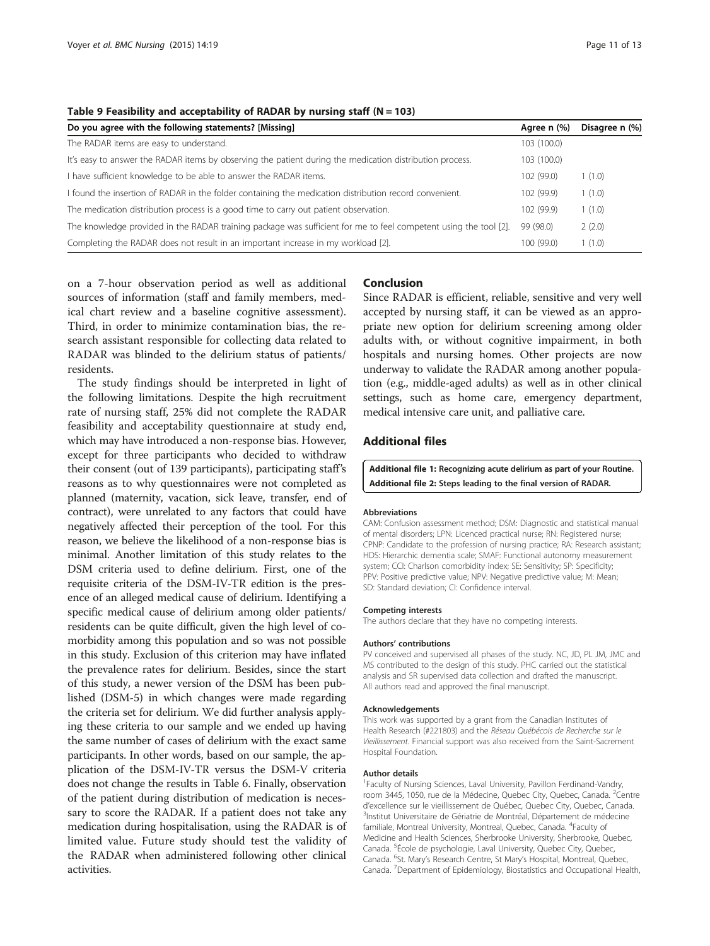#### <span id="page-11-0"></span>Table 9 Feasibility and acceptability of RADAR by nursing staff ( $N = 103$ )

| Do you agree with the following statements? [Missing]                                                            | Agree n (%) | Disagree n (%) |
|------------------------------------------------------------------------------------------------------------------|-------------|----------------|
| The RADAR items are easy to understand.                                                                          | 103 (100.0) |                |
| It's easy to answer the RADAR items by observing the patient during the medication distribution process.         | 103 (100.0) |                |
| I have sufficient knowledge to be able to answer the RADAR items.                                                | 102 (99.0)  | 1(1.0)         |
| I found the insertion of RADAR in the folder containing the medication distribution record convenient.           | 102 (99.9)  | 1(1.0)         |
| The medication distribution process is a good time to carry out patient observation.                             | 102 (99.9)  | 1(1.0)         |
| The knowledge provided in the RADAR training package was sufficient for me to feel competent using the tool [2]. | 99 (98.0)   | 2(2.0)         |
| Completing the RADAR does not result in an important increase in my workload [2].                                | 100 (99.0)  | 1(1.0)         |

on a 7-hour observation period as well as additional sources of information (staff and family members, medical chart review and a baseline cognitive assessment). Third, in order to minimize contamination bias, the research assistant responsible for collecting data related to RADAR was blinded to the delirium status of patients/ residents.

The study findings should be interpreted in light of the following limitations. Despite the high recruitment rate of nursing staff, 25% did not complete the RADAR feasibility and acceptability questionnaire at study end, which may have introduced a non-response bias. However, except for three participants who decided to withdraw their consent (out of 139 participants), participating staff's reasons as to why questionnaires were not completed as planned (maternity, vacation, sick leave, transfer, end of contract), were unrelated to any factors that could have negatively affected their perception of the tool. For this reason, we believe the likelihood of a non-response bias is minimal. Another limitation of this study relates to the DSM criteria used to define delirium. First, one of the requisite criteria of the DSM-IV-TR edition is the presence of an alleged medical cause of delirium. Identifying a specific medical cause of delirium among older patients/ residents can be quite difficult, given the high level of comorbidity among this population and so was not possible in this study. Exclusion of this criterion may have inflated the prevalence rates for delirium. Besides, since the start of this study, a newer version of the DSM has been published (DSM-5) in which changes were made regarding the criteria set for delirium. We did further analysis applying these criteria to our sample and we ended up having the same number of cases of delirium with the exact same participants. In other words, based on our sample, the application of the DSM-IV-TR versus the DSM-V criteria does not change the results in Table [6](#page-9-0). Finally, observation of the patient during distribution of medication is necessary to score the RADAR. If a patient does not take any medication during hospitalisation, using the RADAR is of limited value. Future study should test the validity of the RADAR when administered following other clinical activities.

# Conclusion

Since RADAR is efficient, reliable, sensitive and very well accepted by nursing staff, it can be viewed as an appropriate new option for delirium screening among older adults with, or without cognitive impairment, in both hospitals and nursing homes. Other projects are now underway to validate the RADAR among another population (e.g., middle-aged adults) as well as in other clinical settings, such as home care, emergency department, medical intensive care unit, and palliative care.

# Additional files

[Additional file 1:](http://www.biomedcentral.com/content/supplementary/s12912-015-0070-1-s1.docx) Recognizing acute delirium as part of your Routine. [Additional file 2:](http://www.biomedcentral.com/content/supplementary/s12912-015-0070-1-s2.docx) Steps leading to the final version of RADAR.

#### Abbreviations

CAM: Confusion assessment method; DSM: Diagnostic and statistical manual of mental disorders; LPN: Licenced practical nurse; RN: Registered nurse; CPNP: Candidate to the profession of nursing practice; RA: Research assistant; HDS: Hierarchic dementia scale; SMAF: Functional autonomy measurement system; CCI: Charlson comorbidity index; SE: Sensitivity; SP: Specificity; PPV: Positive predictive value; NPV: Negative predictive value; M: Mean; SD: Standard deviation; CI: Confidence interval.

#### Competing interests

The authors declare that they have no competing interests.

#### Authors' contributions

PV conceived and supervised all phases of the study. NC, JD, PL JM, JMC and MS contributed to the design of this study. PHC carried out the statistical analysis and SR supervised data collection and drafted the manuscript. All authors read and approved the final manuscript.

#### Acknowledgements

This work was supported by a grant from the Canadian Institutes of Health Research (#221803) and the Réseau Québécois de Recherche sur le Vieillissement. Financial support was also received from the Saint-Sacrement Hospital Foundation.

#### Author details

<sup>1</sup> Faculty of Nursing Sciences, Laval University, Pavillon Ferdinand-Vandry, room 3445, 1050, rue de la Médecine, Quebec City, Quebec, Canada. <sup>2</sup>Centre d'excellence sur le vieillissement de Québec, Quebec City, Quebec, Canada. <sup>3</sup>Institut Universitaire de Gériatrie de Montréal, Département de médecine familiale, Montreal University, Montreal, Quebec, Canada. <sup>4</sup>Faculty of Medicine and Health Sciences, Sherbrooke University, Sherbrooke, Quebec, Canada. <sup>5</sup>École de psychologie, Laval University, Quebec City, Quebec, Canada. <sup>6</sup> St. Mary's Research Centre, St Mary's Hospital, Montreal, Quebec, Canada. <sup>7</sup> Department of Epidemiology, Biostatistics and Occupational Health,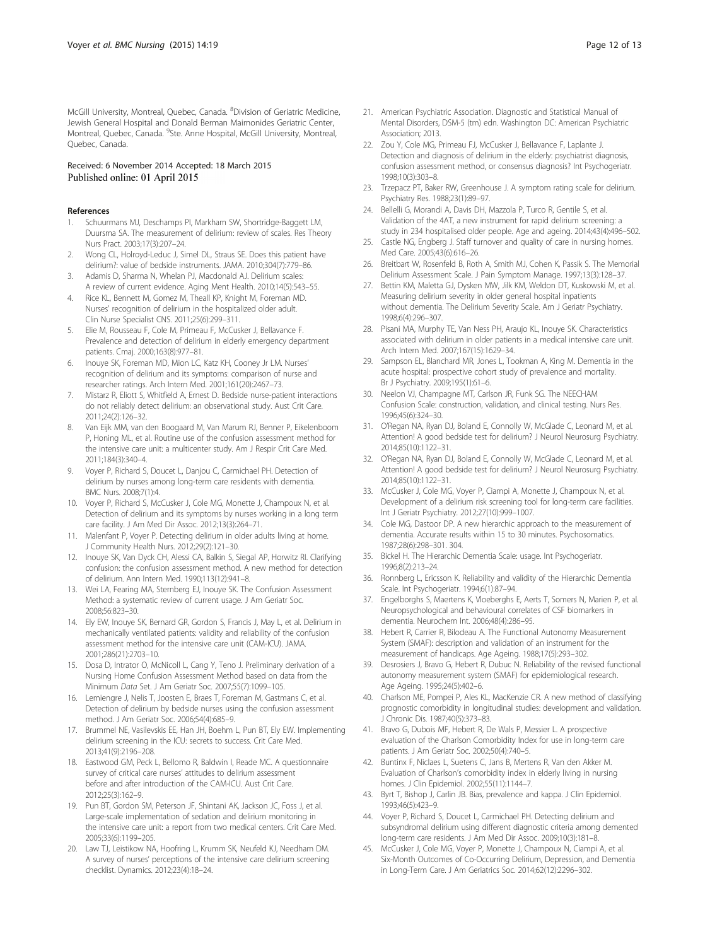<span id="page-12-0"></span>McGill University, Montreal, Quebec, Canada. <sup>8</sup>Division of Geriatric Medicine, Jewish General Hospital and Donald Berman Maimonides Geriatric Center, Montreal, Quebec, Canada. <sup>9</sup>Ste. Anne Hospital, McGill University, Montreal, Quebec, Canada.

#### Received: 6 November 2014 Accepted: 18 March 2015 Published online: 01 April 2015

#### References

- 1. Schuurmans MJ, Deschamps PI, Markham SW, Shortridge-Baggett LM, Duursma SA. The measurement of delirium: review of scales. Res Theory Nurs Pract. 2003;17(3):207–24.
- 2. Wong CL, Holroyd-Leduc J, Simel DL, Straus SE. Does this patient have delirium?: value of bedside instruments. JAMA. 2010;304(7):779–86.
- 3. Adamis D, Sharma N, Whelan PJ, Macdonald AJ. Delirium scales: A review of current evidence. Aging Ment Health. 2010;14(5):543–55.
- 4. Rice KL, Bennett M, Gomez M, Theall KP, Knight M, Foreman MD. Nurses' recognition of delirium in the hospitalized older adult. Clin Nurse Specialist CNS. 2011;25(6):299–311.
- 5. Elie M, Rousseau F, Cole M, Primeau F, McCusker J, Bellavance F. Prevalence and detection of delirium in elderly emergency department patients. Cmaj. 2000;163(8):977–81.
- 6. Inouye SK, Foreman MD, Mion LC, Katz KH, Cooney Jr LM. Nurses' recognition of delirium and its symptoms: comparison of nurse and researcher ratings. Arch Intern Med. 2001;161(20):2467–73.
- 7. Mistarz R, Eliott S, Whitfield A, Ernest D. Bedside nurse-patient interactions do not reliably detect delirium: an observational study. Aust Crit Care. 2011;24(2):126–32.
- 8. Van Eijk MM, van den Boogaard M, Van Marum RJ, Benner P, Eikelenboom P, Honing ML, et al. Routine use of the confusion assessment method for the intensive care unit: a multicenter study. Am J Respir Crit Care Med. 2011;184(3):340–4.
- 9. Voyer P, Richard S, Doucet L, Danjou C, Carmichael PH. Detection of delirium by nurses among long-term care residents with dementia. BMC Nurs. 2008;7(1):4.
- 10. Voyer P, Richard S, McCusker J, Cole MG, Monette J, Champoux N, et al. Detection of delirium and its symptoms by nurses working in a long term care facility. J Am Med Dir Assoc. 2012;13(3):264–71.
- 11. Malenfant P, Voyer P. Detecting delirium in older adults living at home. J Community Health Nurs. 2012;29(2):121–30.
- 12. Inouye SK, Van Dyck CH, Alessi CA, Balkin S, Siegal AP, Horwitz RI. Clarifying confusion: the confusion assessment method. A new method for detection of delirium. Ann Intern Med. 1990;113(12):941–8.
- 13. Wei LA, Fearing MA, Sternberg EJ, Inouye SK. The Confusion Assessment Method: a systematic review of current usage. J Am Geriatr Soc. 2008;56:823–30.
- 14. Ely EW, Inouye SK, Bernard GR, Gordon S, Francis J, May L, et al. Delirium in mechanically ventilated patients: validity and reliability of the confusion assessment method for the intensive care unit (CAM-ICU). JAMA. 2001;286(21):2703–10.
- 15. Dosa D, Intrator O, McNicoll L, Cang Y, Teno J. Preliminary derivation of a Nursing Home Confusion Assessment Method based on data from the Minimum Data Set. J Am Geriatr Soc. 2007;55(7):1099–105.
- 16. Lemiengre J, Nelis T, Joosten E, Braes T, Foreman M, Gastmans C, et al. Detection of delirium by bedside nurses using the confusion assessment method. J Am Geriatr Soc. 2006;54(4):685–9.
- 17. Brummel NE, Vasilevskis EE, Han JH, Boehm L, Pun BT, Ely EW. Implementing delirium screening in the ICU: secrets to success. Crit Care Med. 2013;41(9):2196–208.
- 18. Eastwood GM, Peck L, Bellomo R, Baldwin I, Reade MC. A questionnaire survey of critical care nurses' attitudes to delirium assessment before and after introduction of the CAM-ICU. Aust Crit Care. 2012;25(3):162–9.
- 19. Pun BT, Gordon SM, Peterson JF, Shintani AK, Jackson JC, Foss J, et al. Large-scale implementation of sedation and delirium monitoring in the intensive care unit: a report from two medical centers. Crit Care Med. 2005;33(6):1199–205.
- 20. Law TJ, Leistikow NA, Hoofring L, Krumm SK, Neufeld KJ, Needham DM. A survey of nurses' perceptions of the intensive care delirium screening checklist. Dynamics. 2012;23(4):18–24.
- 21. American Psychiatric Association. Diagnostic and Statistical Manual of Mental Disorders, DSM-5 (tm) edn. Washington DC: American Psychiatric Association; 2013.
- 22. Zou Y, Cole MG, Primeau FJ, McCusker J, Bellavance F, Laplante J. Detection and diagnosis of delirium in the elderly: psychiatrist diagnosis, confusion assessment method, or consensus diagnosis? Int Psychogeriatr. 1998;10(3):303–8.
- 23. Trzepacz PT, Baker RW, Greenhouse J. A symptom rating scale for delirium. Psychiatry Res. 1988;23(1):89–97.
- 24. Bellelli G, Morandi A, Davis DH, Mazzola P, Turco R, Gentile S, et al. Validation of the 4AT, a new instrument for rapid delirium screening: a study in 234 hospitalised older people. Age and ageing. 2014;43(4):496–502.
- 25. Castle NG, Engberg J. Staff turnover and quality of care in nursing homes. Med Care. 2005;43(6):616–26.
- 26. Breitbart W, Rosenfeld B, Roth A, Smith MJ, Cohen K, Passik S. The Memorial Delirium Assessment Scale. J Pain Symptom Manage. 1997;13(3):128–37.
- 27. Bettin KM, Maletta GJ, Dysken MW, Jilk KM, Weldon DT, Kuskowski M, et al. Measuring delirium severity in older general hospital inpatients without dementia. The Delirium Severity Scale. Am J Geriatr Psychiatry. 1998;6(4):296–307.
- 28. Pisani MA, Murphy TE, Van Ness PH, Araujo KL, Inouye SK. Characteristics associated with delirium in older patients in a medical intensive care unit. Arch Intern Med. 2007;167(15):1629–34.
- 29. Sampson EL, Blanchard MR, Jones L, Tookman A, King M. Dementia in the acute hospital: prospective cohort study of prevalence and mortality. Br J Psychiatry. 2009;195(1):61–6.
- 30. Neelon VJ, Champagne MT, Carlson JR, Funk SG. The NEECHAM Confusion Scale: construction, validation, and clinical testing. Nurs Res. 1996;45(6):324–30.
- 31. O'Regan NA, Ryan DJ, Boland E, Connolly W, McGlade C, Leonard M, et al. Attention! A good bedside test for delirium? J Neurol Neurosurg Psychiatry. 2014;85(10):1122–31.
- 32. O'Regan NA, Ryan DJ, Boland E, Connolly W, McGlade C, Leonard M, et al. Attention! A good bedside test for delirium? J Neurol Neurosurg Psychiatry. 2014;85(10):1122–31.
- 33. McCusker J, Cole MG, Voyer P, Ciampi A, Monette J, Champoux N, et al. Development of a delirium risk screening tool for long-term care facilities. Int J Geriatr Psychiatry. 2012;27(10):999–1007.
- 34. Cole MG, Dastoor DP. A new hierarchic approach to the measurement of dementia. Accurate results within 15 to 30 minutes. Psychosomatics. 1987;28(6):298–301. 304.
- 35. Bickel H. The Hierarchic Dementia Scale: usage. Int Psychogeriatr. 1996;8(2):213–24.
- 36. Ronnberg L, Ericsson K. Reliability and validity of the Hierarchic Dementia Scale. Int Psychogeriatr. 1994;6(1):87–94.
- 37. Engelborghs S, Maertens K, Vloeberghs E, Aerts T, Somers N, Marien P, et al. Neuropsychological and behavioural correlates of CSF biomarkers in dementia. Neurochem Int. 2006;48(4):286–95.
- 38. Hebert R, Carrier R, Bilodeau A. The Functional Autonomy Measurement System (SMAF): description and validation of an instrument for the measurement of handicaps. Age Ageing. 1988;17(5):293–302.
- 39. Desrosiers J, Bravo G, Hebert R, Dubuc N. Reliability of the revised functional autonomy measurement system (SMAF) for epidemiological research. Age Ageing. 1995;24(5):402–6.
- 40. Charlson ME, Pompei P, Ales KL, MacKenzie CR. A new method of classifying prognostic comorbidity in longitudinal studies: development and validation. J Chronic Dis. 1987;40(5):373–83.
- 41. Bravo G, Dubois MF, Hebert R, De Wals P, Messier L. A prospective evaluation of the Charlson Comorbidity Index for use in long-term care patients. J Am Geriatr Soc. 2002;50(4):740–5.
- 42. Buntinx F, Niclaes L, Suetens C, Jans B, Mertens R, Van den Akker M. Evaluation of Charlson's comorbidity index in elderly living in nursing homes. J Clin Epidemiol. 2002;55(11):1144–7.
- 43. Byrt T, Bishop J, Carlin JB. Bias, prevalence and kappa. J Clin Epidemiol. 1993;46(5):423–9.
- 44. Voyer P, Richard S, Doucet L, Carmichael PH. Detecting delirium and subsyndromal delirium using different diagnostic criteria among demented long-term care residents. J Am Med Dir Assoc. 2009;10(3):181–8.
- 45. McCusker J, Cole MG, Voyer P, Monette J, Champoux N, Ciampi A, et al. Six-Month Outcomes of Co-Occurring Delirium, Depression, and Dementia in Long-Term Care. J Am Geriatrics Soc. 2014;62(12):2296–302.